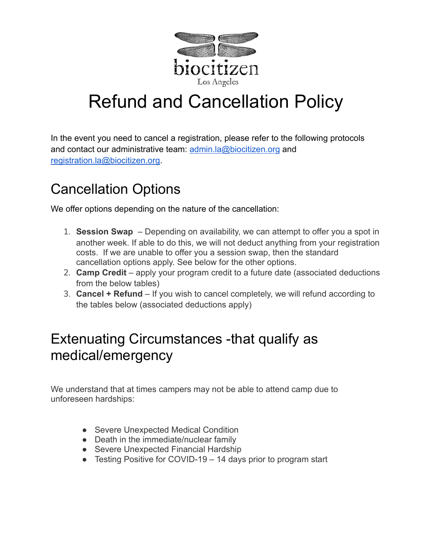

# Refund and Cancellation Policy

In the event you need to cancel a registration, please refer to the following protocols and contact our administrative team: [admin.la@biocitizen.org](mailto:admin.la@biocitizen.org) and [registration.la@biocitizen.org.](mailto:registration.la@biocitizen.org)

# Cancellation Options

We offer options depending on the nature of the cancellation:

- 1. **Session Swap** Depending on availability, we can attempt to offer you a spot in another week. If able to do this, we will not deduct anything from your registration costs. If we are unable to offer you a session swap, then the standard cancellation options apply. See below for the other options.
- 2. **Camp Credit** apply your program credit to a future date (associated deductions from the below tables)
- 3. **Cancel + Refund** If you wish to cancel completely, we will refund according to the tables below (associated deductions apply)

#### Extenuating Circumstances -that qualify as medical/emergency

We understand that at times campers may not be able to attend camp due to unforeseen hardships:

- Severe Unexpected Medical Condition
- Death in the immediate/nuclear family
- Severe Unexpected Financial Hardship
- Testing Positive for COVID-19 14 days prior to program start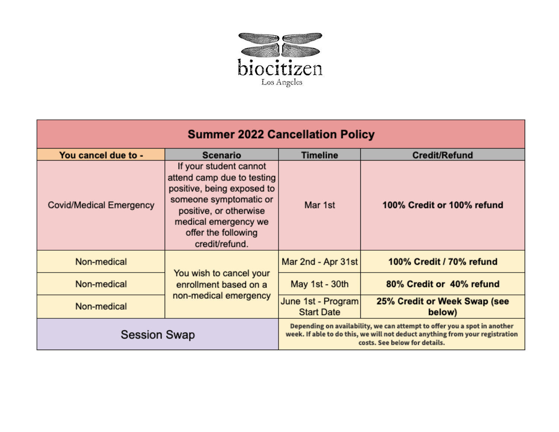

| <b>Summer 2022 Cancellation Policy</b> |                                                                                                                                                                                                         |                                                                                                                                                                                           |                                        |  |  |
|----------------------------------------|---------------------------------------------------------------------------------------------------------------------------------------------------------------------------------------------------------|-------------------------------------------------------------------------------------------------------------------------------------------------------------------------------------------|----------------------------------------|--|--|
| You cancel due to -                    | Scenario                                                                                                                                                                                                | Timeline                                                                                                                                                                                  | <b>Credit/Refund</b>                   |  |  |
| <b>Covid/Medical Emergency</b>         | If your student cannot<br>attend camp due to testing<br>positive, being exposed to<br>someone symptomatic or<br>positive, or otherwise<br>medical emergency we<br>offer the following<br>credit/refund. | Mar 1st                                                                                                                                                                                   | 100% Credit or 100% refund             |  |  |
| Non-medical                            | You wish to cancel your<br>enrollment based on a<br>non-medical emergency                                                                                                                               | Mar 2nd - Apr 31st                                                                                                                                                                        | 100% Credit / 70% refund               |  |  |
| Non-medical                            |                                                                                                                                                                                                         | May 1st - 30th                                                                                                                                                                            | 80% Credit or 40% refund               |  |  |
| Non-medical                            |                                                                                                                                                                                                         | June 1st - Program<br><b>Start Date</b>                                                                                                                                                   | 25% Credit or Week Swap (see<br>below) |  |  |
| <b>Session Swap</b>                    |                                                                                                                                                                                                         | Depending on availability, we can attempt to offer you a spot in another<br>week. If able to do this, we will not deduct anything from your registration<br>costs. See below for details. |                                        |  |  |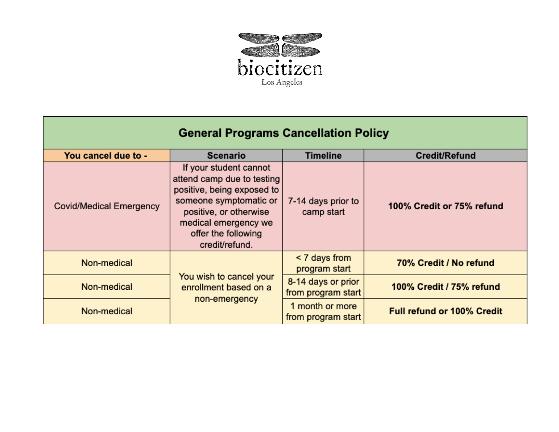

## **General Programs Cancellation Policy**

| You cancel due to -            | <b>Scenario</b>                                                                                                                                                                                         | <b>Timeline</b>                          | <b>Credit/Refund</b>              |
|--------------------------------|---------------------------------------------------------------------------------------------------------------------------------------------------------------------------------------------------------|------------------------------------------|-----------------------------------|
| <b>Covid/Medical Emergency</b> | If your student cannot<br>attend camp due to testing<br>positive, being exposed to<br>someone symptomatic or<br>positive, or otherwise<br>medical emergency we<br>offer the following<br>credit/refund. | 7-14 days prior to<br>camp start         | 100% Credit or 75% refund         |
| Non-medical                    | You wish to cancel your<br>enrollment based on a<br>non-emergency                                                                                                                                       | < 7 days from<br>program start           | 70% Credit / No refund            |
| Non-medical                    |                                                                                                                                                                                                         | 8-14 days or prior<br>from program start | 100% Credit / 75% refund          |
| Non-medical                    |                                                                                                                                                                                                         | 1 month or more<br>from program start    | <b>Full refund or 100% Credit</b> |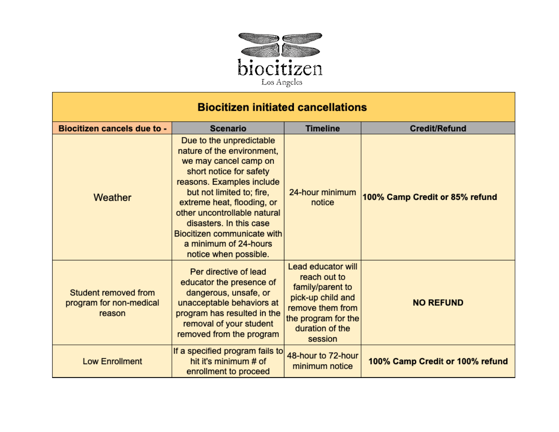

| <b>Biocitizen initiated cancellations</b>                 |                                                                                                                                                                                                                                                                                                                                                |                                                                                                                                                      |                                 |  |  |  |
|-----------------------------------------------------------|------------------------------------------------------------------------------------------------------------------------------------------------------------------------------------------------------------------------------------------------------------------------------------------------------------------------------------------------|------------------------------------------------------------------------------------------------------------------------------------------------------|---------------------------------|--|--|--|
| <b>Biocitizen cancels due to -</b>                        | <b>Scenario</b>                                                                                                                                                                                                                                                                                                                                | <b>Timeline</b>                                                                                                                                      | <b>Credit/Refund</b>            |  |  |  |
| Weather                                                   | Due to the unpredictable<br>nature of the environment,<br>we may cancel camp on<br>short notice for safety<br>reasons. Examples include<br>but not limited to; fire,<br>extreme heat, flooding, or<br>other uncontrollable natural<br>disasters. In this case<br>Biocitizen communicate with<br>a minimum of 24-hours<br>notice when possible. | 24-hour minimum<br>notice                                                                                                                            | 100% Camp Credit or 85% refund  |  |  |  |
| Student removed from<br>program for non-medical<br>reason | Per directive of lead<br>educator the presence of<br>dangerous, unsafe, or<br>unacceptable behaviors at<br>program has resulted in the<br>removal of your student<br>removed from the program                                                                                                                                                  | Lead educator will<br>reach out to<br>family/parent to<br>pick-up child and<br>remove them from<br>the program for the<br>duration of the<br>session | <b>NO REFUND</b>                |  |  |  |
| <b>Low Enrollment</b>                                     | If a specified program fails to<br>hit it's minimum # of<br>enrollment to proceed                                                                                                                                                                                                                                                              | 48-hour to 72-hour<br>minimum notice                                                                                                                 | 100% Camp Credit or 100% refund |  |  |  |